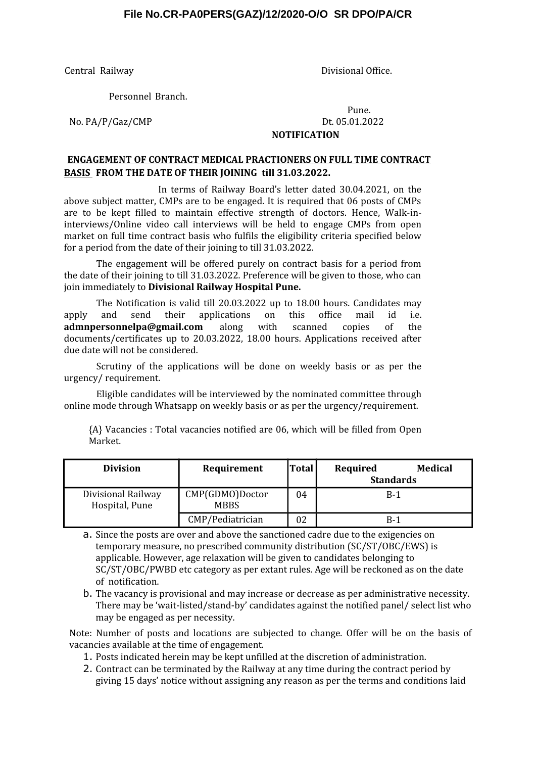#### **File No.CR-PA0PERS(GAZ)/12/2020-O/O SR DPO/PA/CR**

Central Railway **Divisional Office.** 

Personnel Branch.

#### Pune. No. PA/P/Gaz/CMP Dt. 05.01.2022 **NOTIFICATION**

#### **ENGAGEMENT OF CONTRACT MEDICAL PRACTIONERS ON FULL TIME CONTRACT BASIS FROM THE DATE OF THEIR JOINING till 31.03.2022.**

In terms of Railway Board's letter dated 30.04.2021, on the above subject matter, CMPs are to be engaged. It is required that 06 posts of CMPs are to be kept filled to maintain effective strength of doctors. Hence, Walk-ininterviews/Online video call interviews will be held to engage CMPs from open market on full time contract basis who fulfils the eligibility criteria specified below for a period from the date of their joining to till 31.03.2022.

The engagement will be offered purely on contract basis for a period from the date of their joining to till 31.03.2022. Preference will be given to those, who can join immediately to **Divisional Railway Hospital Pune.**

The Notification is valid till 20.03.2022 up to 18.00 hours. Candidates may apply and send their applications on this office mail id i.e. **admnpersonnelpa@gmail.com** along with scanned copies of the documents/certificates up to 20.03.2022, 18.00 hours. Applications received after due date will not be considered.

Scrutiny of the applications will be done on weekly basis or as per the urgency/ requirement.

Eligible candidates will be interviewed by the nominated committee through online mode through Whatsapp on weekly basis or as per the urgency/requirement.

{A} Vacancies : Total vacancies notified are 06, which will be filled from Open Market.

| Division                             | Requirement                    | <b>Total</b> | Medical<br>Required<br><b>Standards</b> |
|--------------------------------------|--------------------------------|--------------|-----------------------------------------|
| Divisional Railway<br>Hospital, Pune | CMP(GDMO)Doctor<br><b>MBBS</b> | 04           | $B-1$                                   |
|                                      | CMP/Pediatrician               | 02           | $B-1$                                   |

a. Since the posts are over and above the sanctioned cadre due to the exigencies on temporary measure, no prescribed community distribution (SC/ST/OBC/EWS) is applicable. However, age relaxation will be given to candidates belonging to SC/ST/OBC/PWBD etc category as per extant rules. Age will be reckoned as on the date of notification.

b. The vacancy is provisional and may increase or decrease as per administrative necessity. There may be 'wait-listed/stand-by' candidates against the notified panel/ select list who may be engaged as per necessity.

Note: Number of posts and locations are subjected to change. Offer will be on the basis of vacancies available at the time of engagement.

- 1. Posts indicated herein may be kept unfilled at the discretion of administration.
- 2. Contract can be terminated by the Railway at any time during the contract period by giving 15 days' notice without assigning any reason as per the terms and conditions laid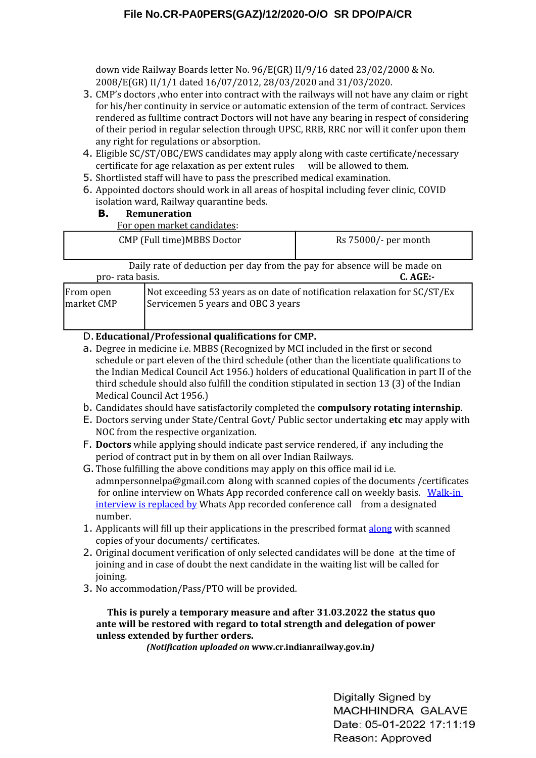down vide Railway Boards letter No. 96/E(GR) II/9/16 dated 23/02/2000 & No. 2008/E(GR) II/1/1 dated 16/07/2012, 28/03/2020 and 31/03/2020.

- 3. CMP's doctors ,who enter into contract with the railways will not have any claim or right for his/her continuity in service or automatic extension of the term of contract. Services rendered as fulltime contract Doctors will not have any bearing in respect of considering of their period in regular selection through UPSC, RRB, RRC nor will it confer upon them any right for regulations or absorption.
- 4. Eligible SC/ST/OBC/EWS candidates may apply along with caste certificate/necessary certificate for age relaxation as per extent rules will be allowed to them.
- 5. Shortlisted staff will have to pass the prescribed medical examination.
- 6. Appointed doctors should work in all areas of hospital including fever clinic, COVID isolation ward, Railway quarantine beds.

## **B. Remuneration**

For open market candidates:

|                                                                                                       | I or open market cananactor                                                                                     |                        |  |  |
|-------------------------------------------------------------------------------------------------------|-----------------------------------------------------------------------------------------------------------------|------------------------|--|--|
| CMP (Full time)MBBS Doctor                                                                            |                                                                                                                 | $Rs$ 75000/- per month |  |  |
| Daily rate of deduction per day from the pay for absence will be made on<br>pro-rata basis.<br>C. AGE |                                                                                                                 |                        |  |  |
| From open<br>market CMP                                                                               | Not exceeding 53 years as on date of notification relaxation for SC/ST/Ex<br>Servicemen 5 years and OBC 3 years |                        |  |  |

# D. **Educational/Professional qualifications for CMP.**

- a. Degree in medicine i.e. MBBS (Recognized by MCI included in the first or second schedule or part eleven of the third schedule (other than the licentiate qualifications to the Indian Medical Council Act 1956.) holders of educational Qualification in part II of the third schedule should also fulfill the condition stipulated in section 13 (3) of the Indian Medical Council Act 1956.)
- b. Candidates should have satisfactorily completed the **compulsory rotating internship**.
- E. Doctors serving under State/Central Govt/ Public sector undertaking **etc** may apply with NOC from the respective organization.
- F. **Doctors** while applying should indicate past service rendered, if any including the period of contract put in by them on all over Indian Railways.
- G.Those fulfilling the above conditions may apply on this office mail id i.e. admnpersonnelpa@gmail.com along with scanned copies of the documents /certificates for online interview on Whats App recorded conference call on weekly basis. Walk-in interview is replaced by Whats App recorded conference call from a designated number.
- 1. Applicants will fill up their applications in the prescribed format along with scanned copies of your documents/ certificates.
- 2. Original document verification of only selected candidates will be done at the time of joining and in case of doubt the next candidate in the waiting list will be called for joining.
- 3. No accommodation/Pass/PTO will be provided.

#### **This is purely a temporary measure and after 31.03.2022 the status quo ante will be restored with regard to total strength and delegation of power unless extended by further orders.**

*(Notification uploaded on* **www.cr.indianrailway.gov.in***)*

Digitally Signed by MACHHINDRA GALAVE Date: 05-01-2022 17:11:19 Reason: Approved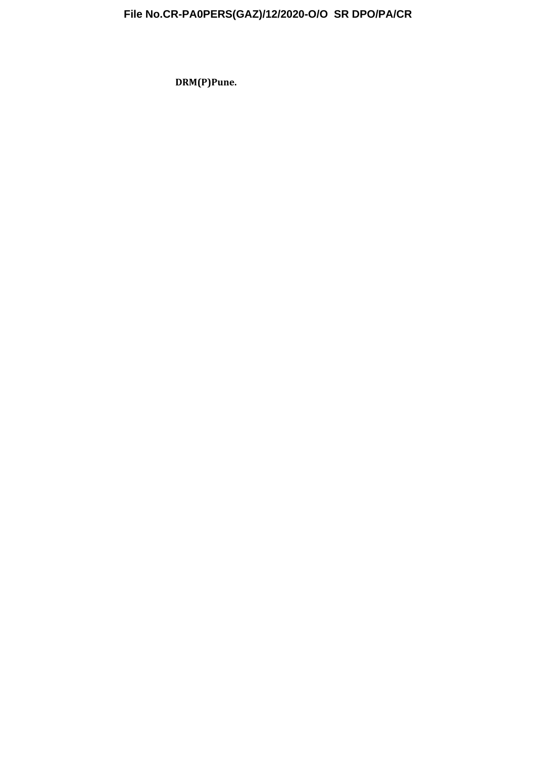# **File No.CR-PA0PERS(GAZ)/12/2020-O/O SR DPO/PA/CR**

**DRM(P)Pune.**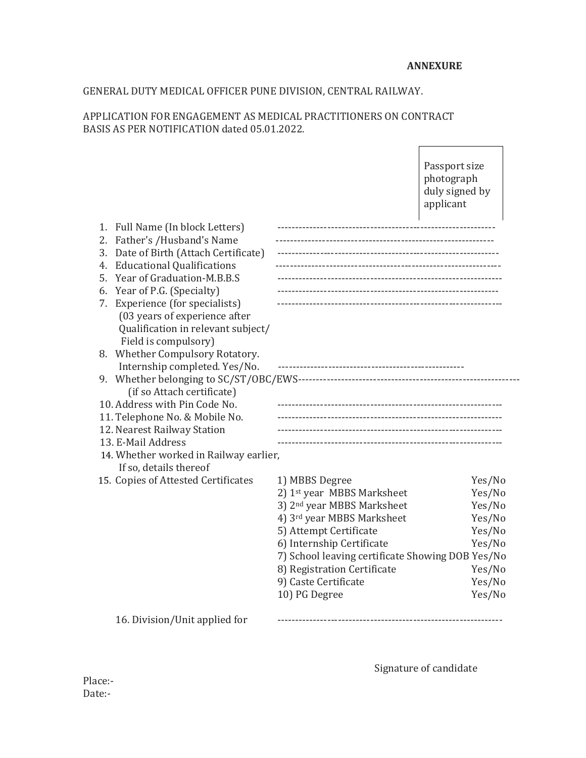## GENERAL DUTY MEDICAL OFFICER PUNE DIVISION, CENTRAL RAILWAY.

#### APPLICATION FOR ENGAGEMENT AS MEDICAL PRACTITIONERS ON CONTRACT BASIS AS PER NOTIFICATION dated 05.01.2022.

Passport size photograph duly signed by applicant

| Full Name (In block Letters)<br>1.       |                                                  |        |
|------------------------------------------|--------------------------------------------------|--------|
| Father's /Husband's Name<br>2.           |                                                  |        |
| Date of Birth (Attach Certificate)<br>3. |                                                  |        |
| <b>Educational Qualifications</b><br>4.  |                                                  |        |
| Year of Graduation-M.B.B.S<br>5.         |                                                  |        |
| Year of P.G. (Specialty)<br>6.           |                                                  |        |
| Experience (for specialists)<br>7.       | ------------------------------------             |        |
| (03 years of experience after            |                                                  |        |
| Qualification in relevant subject/       |                                                  |        |
| Field is compulsory)                     |                                                  |        |
| 8. Whether Compulsory Rotatory.          |                                                  |        |
| Internship completed. Yes/No.            |                                                  |        |
|                                          |                                                  |        |
| (if so Attach certificate)               |                                                  |        |
| 10. Address with Pin Code No.            | ------------------------------------             |        |
| 11. Telephone No. & Mobile No.           |                                                  |        |
| 12. Nearest Railway Station              |                                                  |        |
| 13. E-Mail Address                       |                                                  |        |
| 14. Whether worked in Railway earlier,   |                                                  |        |
| If so, details thereof                   |                                                  |        |
| 15. Copies of Attested Certificates      | 1) MBBS Degree                                   | Yes/No |
|                                          | 2) 1st year MBBS Marksheet                       | Yes/No |
|                                          | 3) 2 <sup>nd</sup> year MBBS Marksheet           | Yes/No |
|                                          | 4) 3rd year MBBS Marksheet                       | Yes/No |
|                                          | 5) Attempt Certificate                           | Yes/No |
|                                          | 6) Internship Certificate                        | Yes/No |
|                                          | 7) School leaving certificate Showing DOB Yes/No |        |
|                                          | 8) Registration Certificate                      | Yes/No |
|                                          | 9) Caste Certificate                             | Yes/No |
|                                          | 10) PG Degree                                    | Yes/No |
| 16. Division/Unit applied for            |                                                  |        |
|                                          |                                                  |        |

Signature of candidate